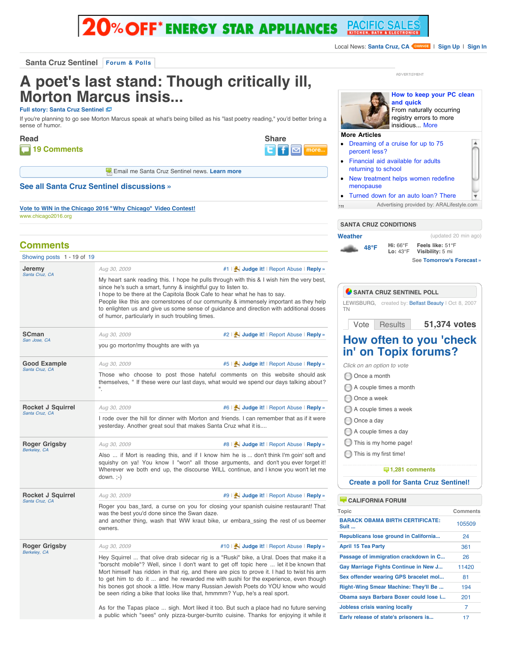# **O% OFF\* ENERGY STAR APPLIANCES PACIFIC S**

**Share**

घान

 $\overline{\mathbf{z}}$ 

**More Articles**

ADVERTISMENT

**and quick**

• [Dreaming of a cruise for up to 75](http://www.aralifestyle.com/article.aspx?UserFeedGuid=ec1442f4-e512-48f4-a59e-7d80d8d99f68&ArticleId=1388&ComboId=8233&title=Dreaming-of-a-cruise-for-up-to-75-percent-less-&origin=222842-APP15)

**[How to keep your PC clean](http://www.aralifestyle.com/article.aspx?UserFeedGuid=ec1442f4-e512-48f4-a59e-7d80d8d99f68&ArticleId=1207&ComboId=8742&title=How-to-keep-your-PC-clean-and-quick&origin=222842-APP15)**

A

From naturally occurring registry errors to more insidious... [More](http://www.aralifestyle.com/article.aspx?UserFeedGuid=ec1442f4-e512-48f4-a59e-7d80d8d99f68&ArticleId=1207&ComboId=8742&title=How-to-keep-your-PC-clean-and-quick&origin=222842-APP15)

**Santa Cruz Sentinel [Forum & Polls](http://www.topix.net/forum/source/santa-cruz-sentinel)**

## **A poet's last stand: Though critically ill, Morton Marcus insis...**

#### **[Full story: Santa Cruz Sentinel](http://www.santacruzsentinel.com/localnews/ci_13233519)**

If you're planning to go see Morton Marcus speak at what's being billed as his "last poetry reading," you'd better bring a sense of humor.



**Ext** Email me Santa Cruz Sentinel news. [Learn more](http://www.topix.net/alerts/subscribe-node/source/santa-cruz-sentinel)

#### **[See all Santa Cruz Sentinel discussions »](http://www.topix.net/forum/source/santa-cruz-sentinel)**

**[Vote to WIN in the Chicago 2016 "Why Chicago" Video Contest!](http://www.chicago2016.org/contest/entries.aspx)** www.chicago2016.org

#### **Comments**

| Showing posts 1 - 19 of 19            |                                                                                                                                                                                                                                                                                                                                                                                                                                                                                                                                            |                                          |  |
|---------------------------------------|--------------------------------------------------------------------------------------------------------------------------------------------------------------------------------------------------------------------------------------------------------------------------------------------------------------------------------------------------------------------------------------------------------------------------------------------------------------------------------------------------------------------------------------------|------------------------------------------|--|
| Jeremy<br>Santa Cruz, CA              | Aug 30, 2009                                                                                                                                                                                                                                                                                                                                                                                                                                                                                                                               | #1   Judge it!   Report Abuse   Reply »  |  |
|                                       | My heart sank reading this. I hope he pulls through with this & I wish him the very best,<br>since he's such a smart, funny & insightful guy to listen to.<br>I hope to be there at the Capitola Book Cafe to hear what he has to say.<br>People like this are cornerstones of our community & immensely important as they help<br>to enlighten us and give us some sense of guidance and direction with additional doses<br>of humor, particularly in such troubling times.                                                               |                                          |  |
| SCman<br>San Jose, CA                 | Aug 30, 2009                                                                                                                                                                                                                                                                                                                                                                                                                                                                                                                               | #2   Judge it!   Report Abuse   Reply »  |  |
|                                       | you go morton!my thoughts are with ya                                                                                                                                                                                                                                                                                                                                                                                                                                                                                                      |                                          |  |
| <b>Good Example</b><br>Santa Cruz, CA | Aug 30, 2009                                                                                                                                                                                                                                                                                                                                                                                                                                                                                                                               | #5   Judge it!   Report Abuse   Reply »  |  |
|                                       | Those who choose to post those hateful comments on this website should ask<br>themselves, "If these were our last days, what would we spend our days talking about?<br>$\mathsf{H}$                                                                                                                                                                                                                                                                                                                                                        |                                          |  |
| Rocket J Squirrel<br>Santa Cruz, CA   | Aug 30, 2009                                                                                                                                                                                                                                                                                                                                                                                                                                                                                                                               | #6   Judge it!   Report Abuse   Reply »  |  |
|                                       | I rode over the hill for dinner with Morton and friends. I can remember that as if it were<br>yesterday. Another great soul that makes Santa Cruz what it is                                                                                                                                                                                                                                                                                                                                                                               |                                          |  |
| Roger Grigsby<br>Berkeley, CA         | Aug 30, 2009                                                                                                                                                                                                                                                                                                                                                                                                                                                                                                                               | #8   Judge it!   Report Abuse   Reply »  |  |
|                                       | Also  if Mort is reading this, and if I know him he is  don't think I'm goin' soft and<br>squishy on ya! You know I "won" all those arguments, and don't you ever forget it!<br>Wherever we both end up, the discourse WILL continue, and I know you won't let me<br>$down.$ ;-)                                                                                                                                                                                                                                                           |                                          |  |
| Rocket J Squirrel                     | Aug 30, 2009                                                                                                                                                                                                                                                                                                                                                                                                                                                                                                                               | #9   Judge it!   Report Abuse   Reply »  |  |
| Santa Cruz, CA                        | Roger you bas_tard, a curse on you for closing your spanish cuisine restaurant! That<br>was the best you'd done since the Swan daze.<br>and another thing, wash that WW kraut bike, ur embara_ssing the rest of us beemer<br>owners.                                                                                                                                                                                                                                                                                                       |                                          |  |
| Roger Grigsby<br>Berkeley, CA         | Aug 30, 2009                                                                                                                                                                                                                                                                                                                                                                                                                                                                                                                               | #10   Judge it!   Report Abuse   Reply » |  |
|                                       | Hey Squirrel  that olive drab sidecar rig is a "Ruski" bike, a Ural. Does that make it a<br>"borscht mobile"? Well, since I don't want to get off topic here  let it be known that<br>Mort himself has ridden in that rig, and there are pics to prove it. I had to twist his arm<br>to get him to do it  and he rewarded me with sushi for the experience, even though<br>his bones got shook a little. How many Russian Jewish Poets do YOU know who would<br>be seen riding a bike that looks like that, hmmmm? Yup, he's a real sport. |                                          |  |

As for the Tapas place ... sigh. Mort liked it too. But such a place had no future serving a public which "sees" only pizza-burger-burrito cuisine. Thanks for enjoying it while it

|           |                                           | returning to school<br>menopause |                          | New treatment helps women redefine       |  |
|-----------|-------------------------------------------|----------------------------------|--------------------------|------------------------------------------|--|
|           |                                           |                                  |                          | Turned down for an auto loan? There      |  |
| <b>TM</b> | Advertising provided by: ARALifestyle.com |                                  |                          |                                          |  |
|           |                                           |                                  |                          |                                          |  |
|           |                                           |                                  |                          |                                          |  |
|           | Weather                                   | 48°F                             | Hi: 66°F                 | (updated 20 min ago)<br>Feels like: 51°F |  |
|           |                                           |                                  | $Lo: 43^{\circ}F$        | Visibility: 5 mi                         |  |
|           |                                           |                                  |                          | See Tomorrow's Forecast »                |  |
|           |                                           |                                  | SANTA CRUZ SENTINEL POLL |                                          |  |

**51,374 votes [How often to you 'check](http://www.topix.net/forum/city/lewisburg-tn/T473T4TGD2E0EG5G3) in' on Topix forums?** [Vote](http://www.topix.net/forum/source/santa-cruz-sentinel/TJ39UU7H4TE4I7L8L#) [Results](http://www.topix.net/forum/source/santa-cruz-sentinel/TJ39UU7H4TE4I7L8L#)

*Click on an option to vote*

Once a month

TN

A couple times a month

Once a week

A couple times a week

Once a day

A couple times a day

This is my home page!

This is my first time!

### **[1,281 comments](http://www.topix.net/forum/city/lewisburg-tn/T473T4TGD2E0EG5G3)**

**[Create a poll for Santa Cruz Sentinel!](http://www.topix.net/poll/create?node=source/santa-cruz-sentinel)**

#### **[CALIFORNIA FORUM](http://www.topix.net/forum/state/ca)**

| Topic                                                 | Comments |
|-------------------------------------------------------|----------|
| <b>BARACK OBAMA BIRTH CERTIFICATE:</b><br><b>Suit</b> | 105509   |
| Republicans lose ground in California                 | 24       |
| <b>April 15 Tea Party</b>                             | 361      |
| Passage of immigration crackdown in C                 | 26       |
| Gay Marriage Fights Continue in New J                 | 11420    |
| Sex offender wearing GPS bracelet mol                 | 81       |
| Right-Wing Smear Machine: They'll Be                  | 194      |
| Obama says Barbara Boxer could lose i                 | 201      |
| <b>Jobless crisis waning locally</b>                  | 7        |
| Early release of state's prisoners is                 | 17       |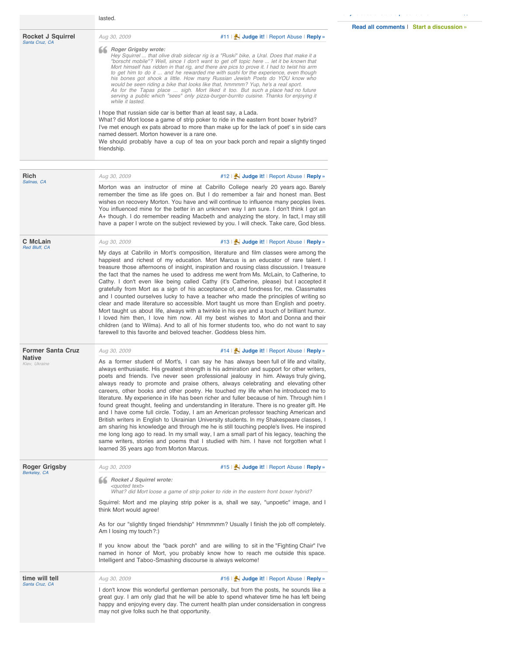|                                     |                                                                                                                                                                                                                                                                                                                                                                                                                                                                                                                                                                                                                                                                                                                                                                                                                                                                                                                                                                                                                                                                                                                                                                        | Read all comments   Start a discussion » |
|-------------------------------------|------------------------------------------------------------------------------------------------------------------------------------------------------------------------------------------------------------------------------------------------------------------------------------------------------------------------------------------------------------------------------------------------------------------------------------------------------------------------------------------------------------------------------------------------------------------------------------------------------------------------------------------------------------------------------------------------------------------------------------------------------------------------------------------------------------------------------------------------------------------------------------------------------------------------------------------------------------------------------------------------------------------------------------------------------------------------------------------------------------------------------------------------------------------------|------------------------------------------|
| Rocket J Squirrel<br>Santa Cruz, CA | #11   Judge it!   Report Abuse   Reply »<br>Aug 30, 2009                                                                                                                                                                                                                                                                                                                                                                                                                                                                                                                                                                                                                                                                                                                                                                                                                                                                                                                                                                                                                                                                                                               |                                          |
|                                     | <b>66</b> Roger Grigsby wrote:<br>Hey Squirrel  that olive drab sidecar rig is a "Ruski" bike, a Ural. Does that make it a<br>"borscht mobile"? Well, since I don't want to get off topic here  let it be known that<br>Mort himself has ridden in that rig, and there are pics to prove it. I had to twist his arm<br>to get him to do it  and he rewarded me with sushi for the experience, even though<br>his bones got shook a little. How many Russian Jewish Poets do YOU know who<br>would be seen riding a bike that looks like that, hmmmm? Yup, he's a real sport.<br>As for the Tapas place  sigh. Mort liked it too. But such a place had no future<br>serving a public which "sees" only pizza-burger-burrito cuisine. Thanks for enjoying it<br>while it lasted.                                                                                                                                                                                                                                                                                                                                                                                         |                                          |
|                                     | I hope that russian side car is better than at least say, a Lada.<br>What? did Mort loose a game of strip poker to ride in the eastern front boxer hybrid?<br>I've met enough ex pats abroad to more than make up for the lack of poet's in side cars<br>named dessert. Morton however is a rare one.<br>We should probably have a cup of tea on your back porch and repair a slightly tinged<br>friendship.                                                                                                                                                                                                                                                                                                                                                                                                                                                                                                                                                                                                                                                                                                                                                           |                                          |
| Rich                                | #12   Judge it!   Report Abuse   Reply »<br>Aug 30, 2009                                                                                                                                                                                                                                                                                                                                                                                                                                                                                                                                                                                                                                                                                                                                                                                                                                                                                                                                                                                                                                                                                                               |                                          |
| Salinas, CA                         | Morton was an instructor of mine at Cabrillo College nearly 20 years ago. Barely<br>remember the time as life goes on. But I do remember a fair and honest man. Best<br>wishes on recovery Morton. You have and will continue to influence many peoples lives.<br>You influenced mine for the better in an unknown way I am sure. I don't think I got an<br>A+ though. I do remember reading Macbeth and analyzing the story. In fact, I may still<br>have a paper I wrote on the subject reviewed by you. I will check. Take care, God bless.                                                                                                                                                                                                                                                                                                                                                                                                                                                                                                                                                                                                                         |                                          |
| C McLain                            | #13   Judge it!   Report Abuse   Reply »<br>Aug 30, 2009                                                                                                                                                                                                                                                                                                                                                                                                                                                                                                                                                                                                                                                                                                                                                                                                                                                                                                                                                                                                                                                                                                               |                                          |
| Red Bluff, CA                       | My days at Cabrillo in Mort's composition, literature and film classes were among the<br>happiest and richest of my education. Mort Marcus is an educator of rare talent. I<br>treasure those afternoons of insight, inspiration and rousing class discussion. I treasure<br>the fact that the names he used to address me went from Ms. McLain, to Catherine, to<br>Cathy. I don't even like being called Cathy (it's Catherine, please) but I accepted it<br>gratefully from Mort as a sign of his acceptance of, and fondness for, me. Classmates<br>and I counted ourselves lucky to have a teacher who made the principles of writing so<br>clear and made literature so accessible. Mort taught us more than English and poetry.<br>Mort taught us about life, always with a twinkle in his eye and a touch of brilliant humor.<br>I loved him then, I love him now. All my best wishes to Mort and Donna and their<br>children (and to Wilma). And to all of his former students too, who do not want to say<br>farewell to this favorite and beloved teacher. Goddess bless him.                                                                               |                                          |
| <b>Former Santa Cruz</b>            | #14   Judge it!   Report Abuse   Reply »<br>Aug 30, 2009                                                                                                                                                                                                                                                                                                                                                                                                                                                                                                                                                                                                                                                                                                                                                                                                                                                                                                                                                                                                                                                                                                               |                                          |
| <b>Native</b><br>Kiev, Ukraine      | As a former student of Mort's, I can say he has always been full of life and vitality,<br>always enthusiastic. His greatest strength is his admiration and support for other writers,<br>poets and friends. I've never seen professional jealousy in him. Always truly giving,<br>always ready to promote and praise others, always celebrating and elevating other<br>careers, other books and other poetry. He touched my life when he introduced me to<br>literature. My experience in life has been richer and fuller because of him. Through him I<br>found great thought, feeling and understanding in literature. There is no greater gift. He<br>and I have come full circle. Today, I am an American professor teaching American and<br>British writers in English to Ukrainian University students. In my Shakespeare classes, I<br>am sharing his knowledge and through me he is still touching people's lives. He inspired<br>me long long ago to read. In my small way, I am a small part of his legacy, teaching the<br>same writers, stories and poems that I studied with him. I have not forgotten what I<br>learned 35 years ago from Morton Marcus. |                                          |
| Roger Grigsby<br>Berkeley, CA       | #15   Judge it!   Report Abuse   Reply »<br>Aug 30, 2009                                                                                                                                                                                                                                                                                                                                                                                                                                                                                                                                                                                                                                                                                                                                                                                                                                                                                                                                                                                                                                                                                                               |                                          |
|                                     | <b>66 Rocket J Squirrel wrote:</b><br><auoted text=""><br/>What? did Mort loose a game of strip poker to ride in the eastern front boxer hybrid?</auoted>                                                                                                                                                                                                                                                                                                                                                                                                                                                                                                                                                                                                                                                                                                                                                                                                                                                                                                                                                                                                              |                                          |
|                                     | Squirrel: Mort and me playing strip poker is a, shall we say, "unpoetic" image, and I<br>think Mort would agree!                                                                                                                                                                                                                                                                                                                                                                                                                                                                                                                                                                                                                                                                                                                                                                                                                                                                                                                                                                                                                                                       |                                          |
|                                     | As for our "slightly tinged friendship" Hmmmmm? Usually I finish the job off completely.<br>Am I losing my touch?:)                                                                                                                                                                                                                                                                                                                                                                                                                                                                                                                                                                                                                                                                                                                                                                                                                                                                                                                                                                                                                                                    |                                          |
|                                     | If you know about the "back porch" and are willing to sit in the "Fighting Chair" I've<br>named in honor of Mort, you probably know how to reach me outside this space.<br>Intelligent and Taboo-Smashing discourse is always welcome!                                                                                                                                                                                                                                                                                                                                                                                                                                                                                                                                                                                                                                                                                                                                                                                                                                                                                                                                 |                                          |
| time will tell                      | Aug 30, 2009<br>#16   Judge it!   Report Abuse   Reply »                                                                                                                                                                                                                                                                                                                                                                                                                                                                                                                                                                                                                                                                                                                                                                                                                                                                                                                                                                                                                                                                                                               |                                          |
| Santa Cruz, CA                      | I don't know this wonderful gentleman personally, but from the posts, he sounds like a<br>great guy. I am only glad that he will be able to spend whatever time he has left being<br>happy and enjoying every day. The current health plan under considersation in congress<br>may not give folks such he that opportunity.                                                                                                                                                                                                                                                                                                                                                                                                                                                                                                                                                                                                                                                                                                                                                                                                                                            |                                          |

**[Early release of state](http://www.topix.net/forum/state/ca/TODNPE58R8GK67UM6)'[s prisoners is...](http://www.topix.net/forum/state/ca/TODNPE58R8GK67UM6)** [17](http://www.topix.net/forum/state/ca/TODNPE58R8GK67UM6)

lasted.